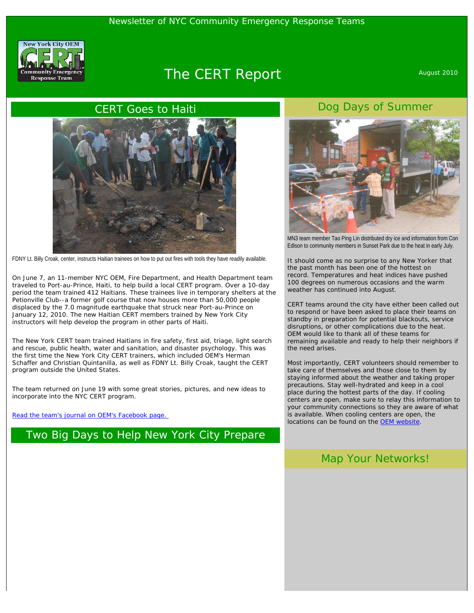

# The CERT Report August 2010

#### CERT Goes to Haiti



FDNY Lt. Billy Croak, center, instructs Haitian trainees on how to put out fires with tools they have readily available.

On June 7, an 11-member NYC OEM, Fire Department, and Health Department team traveled to Port-au-Prince, Haiti, to help build a local CERT program. Over a 10-day period the team trained 412 Haitians. These trainees live in temporary shelters at the Petionville Club--a former golf course that now houses more than 50,000 people displaced by the 7.0 magnitude earthquake that struck near Port-au-Prince on January 12, 2010. The new Haitian CERT members trained by New York City instructors will help develop the program in other parts of Haiti.

The New York CERT team trained Haitians in fire safety, first aid, triage, light search and rescue, public health, water and sanitation, and disaster psychology. This was the first time the New York City CERT trainers, which included OEM's Herman Schaffer and Christian Quintanilla, as well as FDNY Lt. Billy Croak, taught the CERT program outside the United States.

The team returned on June 19 with some great stories, pictures, and new ideas to incorporate into the NYC CERT program.

[Read the team's journal on OEM's Facebook page.](http://www.facebook.com/notes.php?id=114100899072)

## Two Big Days to Help New York City Prepare



Dog Days of Summer

MN3 team member Tao Ping Lin distributed dry ice and information from Con Edison to community members in Sunset Park due to the heat in early July.

It should come as no surprise to any New Yorker that the past month has been one of the hottest on record. Temperatures and heat indices have pushed 100 degrees on numerous occasions and the warm weather has continued into August.

CERT teams around the city have either been called out to respond or have been asked to place their teams on standby in preparation for potential blackouts, service disruptions, or other complications due to the heat. OEM would like to thank all of these teams for remaining available and ready to help their neighbors if the need arises.

Most importantly, CERT volunteers should remember to take care of themselves and those close to them by staying informed about the weather and taking proper precautions. Stay well-hydrated and keep in a cool place during the hottest parts of the day. If cooling centers are open, make sure to relay this information to your community connections so they are aware of what is available. When cooling centers are open, the locations can be found on the [OEM website](http://www.nyc.gov/oem).

#### Map Your Networks!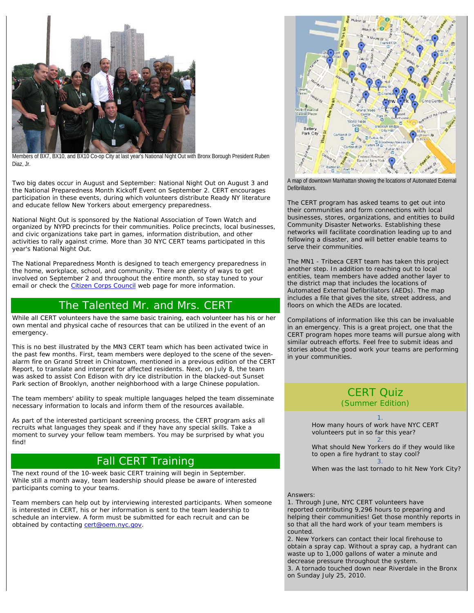

Members of BX7, BX10, and BX10 Co-op City at last year's National Night Out with Bronx Borough President Ruben Diaz, Jr.

Two big dates occur in August and September: National Night Out on August 3 and the National Preparedness Month Kickoff Event on September 2. CERT encourages participation in these events, during which volunteers distribute Ready NY literature and educate fellow New Yorkers about emergency preparedness.

National Night Out is sponsored by the National Association of Town Watch and organized by NYPD precincts for their communities. Police precincts, local businesses, and civic organizations take part in games, information distribution, and other activities to rally against crime. More than 30 NYC CERT teams participated in this year's National Night Out.

The National Preparedness Month is designed to teach emergency preparedness in the home, workplace, school, and community. There are plenty of ways to get involved on September 2 and throughout the entire month, so stay tuned to your email or check the [Citizen Corps Council](http://www.nyc.gov/citizencorps) web page for more information.

# The Talented Mr. and Mrs. CERT

While all CERT volunteers have the same basic training, each volunteer has his or her own mental and physical cache of resources that can be utilized in the event of an emergency.

This is no best illustrated by the MN3 CERT team which has been activated twice in the past few months. First, team members were deployed to the scene of the sevenalarm fire on Grand Street in Chinatown, mentioned in a previous edition of the CERT Report, to translate and interpret for affected residents. Next, on July 8, the team was asked to assist Con Edison with dry ice distribution in the blacked-out Sunset Park section of Brooklyn, another neighborhood with a large Chinese population.

The team members' ability to speak multiple languages helped the team disseminate necessary information to locals and inform them of the resources available.

As part of the interested participant screening process, the CERT program asks all recruits what languages they speak and if they have any special skills. Take a moment to survey your fellow team members. You may be surprised by what you find!

# Fall CERT Training

The next round of the 10-week basic CERT training will begin in September. While still a month away, team leadership should please be aware of interested participants coming to your teams.

Team members can help out by interviewing interested participants. When someone is interested in CERT, his or her information is sent to the team leadership to schedule an interview. A form must be submitted for each recruit and can be obtained by contacting [cert@oem.nyc.gov](mailto:cert@oem.nyc.gov).



A map of downtown Manhattan showing the locations of Automated External Defibrillators.

The CERT program has asked teams to get out into their communities and form connections with local businesses, stores, organizations, and entities to build Community Disaster Networks. Establishing these networks will facilitate coordination leading up to and following a disaster, and will better enable teams to serve their communities.

The MN1 - Tribeca CERT team has taken this project another step. In addition to reaching out to local entities, team members have added another layer to the district map that includes the locations of Automated External Defibrillators (AEDs). The map includes a file that gives the site, street address, and floors on which the AEDs are located.

Compilations of information like this can be invaluable in an emergency. This is a great project, one that the CERT program hopes more teams will pursue along with similar outreach efforts. Feel free to submit ideas and stories about the good work your teams are performing in your communities.

### CERT Quiz (Summer Edition)

1. How many hours of work have NYC CERT volunteers put in so far this year? 2.

What should New Yorkers do if they would like to open a fire hydrant to stay cool? 3.

When was the last tornado to hit New York City?

#### Answers:

1. *Through June, NYC CERT volunteers have reported contributing 9,296 hours to preparing and helping their communities! Get those monthly reports in so that all the hard work of your team members is counted.* 

2. *New Yorkers can contact their local firehouse to obtain a spray cap. Without a spray cap, a hydrant can waste up to 1,000 gallons of water a minute and decrease pressure throughout the system.*  3. *A tornado touched down near Riverdale in the Bronx on Sunday July 25, 2010*.